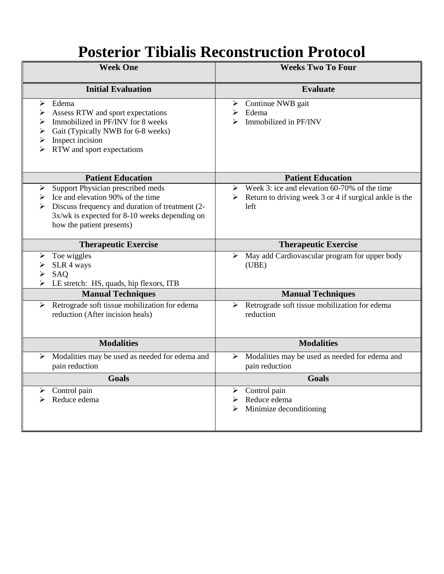# **Posterior Tibialis Reconstruction Protocol**

| <b>Week One</b>                                                                                                                                                                                                   | <b>Weeks Two To Four</b>                                                                                       |
|-------------------------------------------------------------------------------------------------------------------------------------------------------------------------------------------------------------------|----------------------------------------------------------------------------------------------------------------|
| <b>Initial Evaluation</b>                                                                                                                                                                                         | <b>Evaluate</b>                                                                                                |
| Edema<br>➤<br>Assess RTW and sport expectations<br>➤<br>Immobilized in PF/INV for 8 weeks<br>➤<br>Gait (Typically NWB for 6-8 weeks)<br>➤<br>Inspect incision<br>➤<br>RTW and sport expectations<br>⋗             | Continue NWB gait<br>➤<br>Edema<br>➤<br>Immobilized in PF/INV                                                  |
| <b>Patient Education</b>                                                                                                                                                                                          | <b>Patient Education</b>                                                                                       |
| Support Physician prescribed meds<br>➤<br>Ice and elevation 90% of the time<br>➤<br>Discuss frequency and duration of treatment (2-<br>3x/wk is expected for 8-10 weeks depending on<br>how the patient presents) | Week 3: ice and elevation 60-70% of the time<br>Return to driving week 3 or 4 if surgical ankle is the<br>left |
| <b>Therapeutic Exercise</b>                                                                                                                                                                                       | <b>Therapeutic Exercise</b>                                                                                    |
| Toe wiggles<br>➤<br>SLR 4 ways<br>➤<br>SAQ<br>LE stretch: HS, quads, hip flexors, ITB                                                                                                                             | May add Cardiovascular program for upper body<br>➤<br>(UBE)                                                    |
| <b>Manual Techniques</b>                                                                                                                                                                                          | <b>Manual Techniques</b>                                                                                       |
| Retrograde soft tissue mobilization for edema<br>➤<br>reduction (After incision heals)                                                                                                                            | Retrograde soft tissue mobilization for edema<br>➤<br>reduction                                                |
| <b>Modalities</b>                                                                                                                                                                                                 | <b>Modalities</b>                                                                                              |
| Modalities may be used as needed for edema and<br>➤<br>pain reduction                                                                                                                                             | Modalities may be used as needed for edema and<br>➤<br>pain reduction                                          |
| <b>Goals</b>                                                                                                                                                                                                      | <b>Goals</b>                                                                                                   |
| Control pain<br>➤<br>Reduce edema<br>⋗                                                                                                                                                                            | Control pain<br>➤<br>Reduce edema<br>➤<br>Minimize deconditioning<br>➤                                         |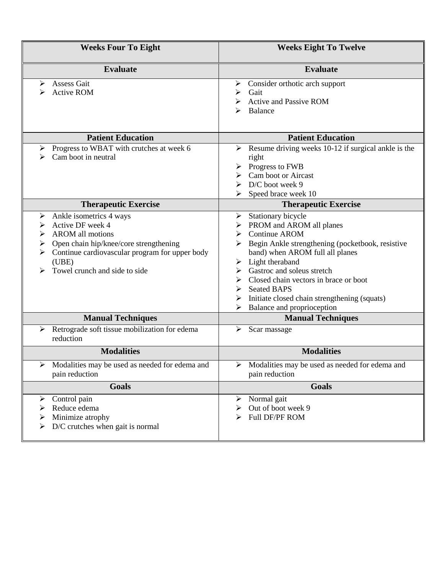| <b>Weeks Four To Eight</b>                                                                                                                                                                                                            | <b>Weeks Eight To Twelve</b>                                                                                                                                                                                                                                                                                                                                     |
|---------------------------------------------------------------------------------------------------------------------------------------------------------------------------------------------------------------------------------------|------------------------------------------------------------------------------------------------------------------------------------------------------------------------------------------------------------------------------------------------------------------------------------------------------------------------------------------------------------------|
| <b>Evaluate</b>                                                                                                                                                                                                                       | <b>Evaluate</b>                                                                                                                                                                                                                                                                                                                                                  |
| <b>Assess Gait</b><br>➤<br><b>Active ROM</b>                                                                                                                                                                                          | Consider orthotic arch support<br>➤<br>Gait<br>⋗<br><b>Active and Passive ROM</b><br>Balance                                                                                                                                                                                                                                                                     |
| <b>Patient Education</b>                                                                                                                                                                                                              | <b>Patient Education</b>                                                                                                                                                                                                                                                                                                                                         |
| Progress to WBAT with crutches at week 6<br>➤<br>Cam boot in neutral<br>⋗                                                                                                                                                             | Resume driving weeks 10-12 if surgical ankle is the<br>➤<br>right<br>Progress to FWB<br>Cam boot or Aircast<br>D/C boot week 9<br>Speed brace week 10                                                                                                                                                                                                            |
| <b>Therapeutic Exercise</b>                                                                                                                                                                                                           | <b>Therapeutic Exercise</b>                                                                                                                                                                                                                                                                                                                                      |
| Ankle isometrics 4 ways<br>➤<br>Active DF week 4<br>➤<br><b>AROM</b> all motions<br>➤<br>Open chain hip/knee/core strengthening<br>➤<br>Continue cardiovascular program for upper body<br>⋗<br>(UBE)<br>Towel crunch and side to side | Stationary bicycle<br>➤<br>PROM and AROM all planes<br><b>Continue AROM</b><br>Begin Ankle strengthening (pocketbook, resistive<br>band) when AROM full all planes<br>Light theraband<br>Gastroc and soleus stretch<br>Closed chain vectors in brace or boot<br><b>Seated BAPS</b><br>Initiate closed chain strengthening (squats)<br>Balance and proprioception |
| <b>Manual Techniques</b>                                                                                                                                                                                                              | <b>Manual Techniques</b>                                                                                                                                                                                                                                                                                                                                         |
| Retrograde soft tissue mobilization for edema<br>➤<br>reduction                                                                                                                                                                       | Scar massage<br>➤                                                                                                                                                                                                                                                                                                                                                |
| <b>Modalities</b>                                                                                                                                                                                                                     | <b>Modalities</b>                                                                                                                                                                                                                                                                                                                                                |
| Modalities may be used as needed for edema and<br>pain reduction                                                                                                                                                                      | Modalities may be used as needed for edema and<br>pain reduction                                                                                                                                                                                                                                                                                                 |
| <b>Goals</b>                                                                                                                                                                                                                          | <b>Goals</b>                                                                                                                                                                                                                                                                                                                                                     |
| Control pain<br>➤<br>Reduce edema<br>➤<br>Minimize atrophy<br>➤<br>D/C crutches when gait is normal<br>➤                                                                                                                              | Normal gait<br>➤<br>Out of boot week 9<br>➤<br>Full DF/PF ROM<br>⋗                                                                                                                                                                                                                                                                                               |